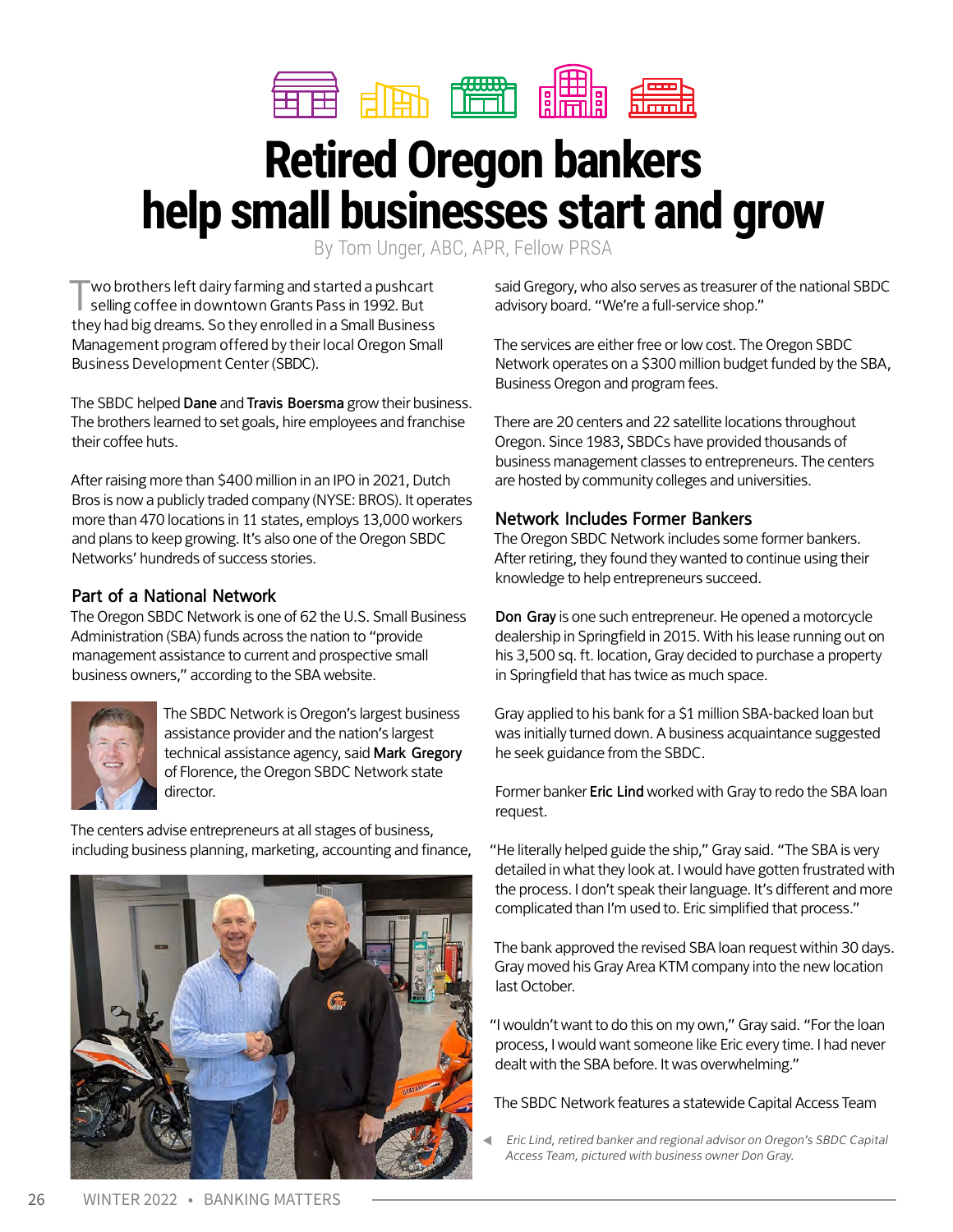

# **Retired Oregon bankers help small businesses start and grow**

By Tom Unger, ABC, APR, Fellow PRSA

wo brothers left dairy farming and started a pushcart selling coffee in downtown Grants Pass in 1992. But they had big dreams. So they enrolled in a Small Business Management program offered by their local Oregon Small Business Development Center (SBDC).

The SBDC helped **Dane** and **Travis Boersma** grow their business. The brothers learned to set goals, hire employees and franchise their coffee huts.

After raising more than \$400 million in an IPO in 2021, Dutch Bros is now a publicly traded company (NYSE: BROS). It operates more than 470 locations in 11 states, employs 13,000 workers and plans to keep growing. It's also one of the Oregon SBDC Networks' hundreds of success stories.

# **Part of a National Network**

The Oregon SBDC Network is one of 62 the U.S. Small Business Administration (SBA) funds across the nation to "provide management assistance to current and prospective small business owners," according to the SBA website.



The SBDC Network is Oregon's largest business assistance provider and the nation's largest technical assistance agency, said **Mark Gregory**  of Florence, the Oregon SBDC Network state director.

The centers advise entrepreneurs at all stages of business, including business planning, marketing, accounting and finance,



said Gregory, who also serves as treasurer of the national SBDC advisory board. "We're a full-service shop."

The services are either free or low cost. The Oregon SBDC Network operates on a \$300 million budget funded by the SBA, Business Oregon and program fees.

There are 20 centers and 22 satellite locations throughout Oregon. Since 1983, SBDCs have provided thousands of business management classes to entrepreneurs. The centers are hosted by community colleges and universities.

# **Network Includes Former Bankers**

The Oregon SBDC Network includes some former bankers. After retiring, they found they wanted to continue using their knowledge to help entrepreneurs succeed.

**Don Gray** is one such entrepreneur. He opened a motorcycle dealership in Springfield in 2015. With his lease running out on his 3,500 sq. ft. location, Gray decided to purchase a property in Springfield that has twice as much space.

Gray applied to his bank for a \$1 million SBA-backed loan but was initially turned down. A business acquaintance suggested he seek guidance from the SBDC.

Former banker **Eric Lind** worked with Gray to redo the SBA loan request.

"He literally helped guide the ship," Gray said. "The SBA is very detailed in what they look at. I would have gotten frustrated with the process. I don't speak their language. It's different and more complicated than I'm used to. Eric simplified that process."

The bank approved the revised SBA loan request within 30 days. Gray moved his Gray Area KTM company into the new location last October.

"I wouldn't want to do this on my own," Gray said. "For the loan process, I would want someone like Eric every time. I had never dealt with the SBA before. It was overwhelming."

The SBDC Network features a statewide Capital Access Team

Eric Lind, retired banker and regional advisor on Oregon's SBDC Capital Access Team, pictured with business owner Don Gray.